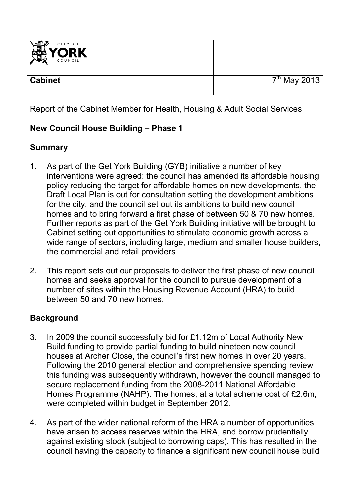

# Report of the Cabinet Member for Health, Housing & Adult Social Services

### **New Council House Building – Phase 1**

# **Summary**

- 1. As part of the Get York Building (GYB) initiative a number of key interventions were agreed: the council has amended its affordable housing policy reducing the target for affordable homes on new developments, the Draft Local Plan is out for consultation setting the development ambitions for the city, and the council set out its ambitions to build new council homes and to bring forward a first phase of between 50 & 70 new homes. Further reports as part of the Get York Building initiative will be brought to Cabinet setting out opportunities to stimulate economic growth across a wide range of sectors, including large, medium and smaller house builders, the commercial and retail providers
- 2. This report sets out our proposals to deliver the first phase of new council homes and seeks approval for the council to pursue development of a number of sites within the Housing Revenue Account (HRA) to build between 50 and 70 new homes.

# **Background**

- 3. In 2009 the council successfully bid for £1.12m of Local Authority New Build funding to provide partial funding to build nineteen new council houses at Archer Close, the council's first new homes in over 20 years. Following the 2010 general election and comprehensive spending review this funding was subsequently withdrawn, however the council managed to secure replacement funding from the 2008-2011 National Affordable Homes Programme (NAHP). The homes, at a total scheme cost of £2.6m, were completed within budget in September 2012.
- 4. As part of the wider national reform of the HRA a number of opportunities have arisen to access reserves within the HRA, and borrow prudentially against existing stock (subject to borrowing caps). This has resulted in the council having the capacity to finance a significant new council house build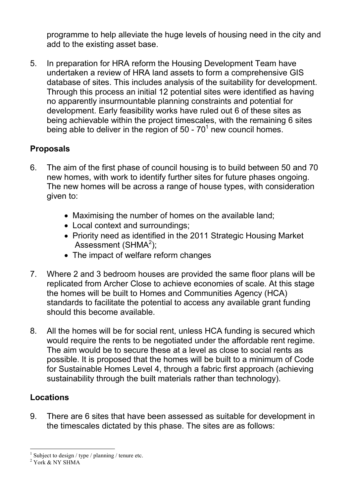programme to help alleviate the huge levels of housing need in the city and add to the existing asset base.

5. In preparation for HRA reform the Housing Development Team have undertaken a review of HRA land assets to form a comprehensive GIS database of sites. This includes analysis of the suitability for development. Through this process an initial 12 potential sites were identified as having no apparently insurmountable planning constraints and potential for development. Early feasibility works have ruled out 6 of these sites as being achievable within the project timescales, with the remaining 6 sites being able to deliver in the region of 50 -  $70<sup>1</sup>$  new council homes.

# **Proposals**

- 6. The aim of the first phase of council housing is to build between 50 and 70 new homes, with work to identify further sites for future phases ongoing. The new homes will be across a range of house types, with consideration given to:
	- Maximising the number of homes on the available land;
	- Local context and surroundings;
	- Priority need as identified in the 2011 Strategic Housing Market Assessment (SHMA $2$ );
	- The impact of welfare reform changes
- 7. Where 2 and 3 bedroom houses are provided the same floor plans will be replicated from Archer Close to achieve economies of scale. At this stage the homes will be built to Homes and Communities Agency (HCA) standards to facilitate the potential to access any available grant funding should this become available.
- 8. All the homes will be for social rent, unless HCA funding is secured which would require the rents to be negotiated under the affordable rent regime. The aim would be to secure these at a level as close to social rents as possible. It is proposed that the homes will be built to a minimum of Code for Sustainable Homes Level 4, through a fabric first approach (achieving sustainability through the built materials rather than technology).

### **Locations**

9. There are 6 sites that have been assessed as suitable for development in the timescales dictated by this phase. The sites are as follows:

<sup>&</sup>lt;sup>1</sup> Subject to design / type / planning / tenure etc.

<sup>2</sup> York & NY SHMA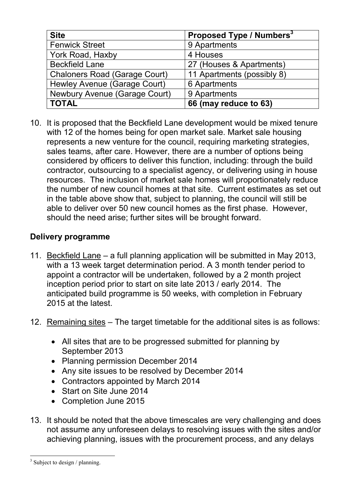| <b>Site</b>                          | Proposed Type / Numbers <sup>3</sup> |  |  |
|--------------------------------------|--------------------------------------|--|--|
| <b>Fenwick Street</b>                | 9 Apartments                         |  |  |
| York Road, Haxby                     | 4 Houses                             |  |  |
| <b>Beckfield Lane</b>                | 27 (Houses & Apartments)             |  |  |
| <b>Chaloners Road (Garage Court)</b> | 11 Apartments (possibly 8)           |  |  |
| Hewley Avenue (Garage Court)         | 6 Apartments                         |  |  |
| Newbury Avenue (Garage Court)        | 9 Apartments                         |  |  |
| <b>TOTAL</b>                         | 66 (may reduce to 63)                |  |  |

10. It is proposed that the Beckfield Lane development would be mixed tenure with 12 of the homes being for open market sale. Market sale housing represents a new venture for the council, requiring marketing strategies, sales teams, after care. However, there are a number of options being considered by officers to deliver this function, including: through the build contractor, outsourcing to a specialist agency, or delivering using in house resources. The inclusion of market sale homes will proportionately reduce the number of new council homes at that site. Current estimates as set out in the table above show that, subject to planning, the council will still be able to deliver over 50 new council homes as the first phase. However, should the need arise; further sites will be brought forward.

### **Delivery programme**

- 11. Beckfield Lane a full planning application will be submitted in May 2013, with a 13 week target determination period. A 3 month tender period to appoint a contractor will be undertaken, followed by a 2 month project inception period prior to start on site late 2013 / early 2014. The anticipated build programme is 50 weeks, with completion in February 2015 at the latest.
- 12. Remaining sites The target timetable for the additional sites is as follows:
	- All sites that are to be progressed submitted for planning by September 2013
	- Planning permission December 2014
	- Any site issues to be resolved by December 2014
	- Contractors appointed by March 2014
	- Start on Site June 2014
	- Completion June 2015
- 13. It should be noted that the above timescales are very challenging and does not assume any unforeseen delays to resolving issues with the sites and/or achieving planning, issues with the procurement process, and any delays

 $\overline{a}$ <sup>3</sup> Subject to design / planning.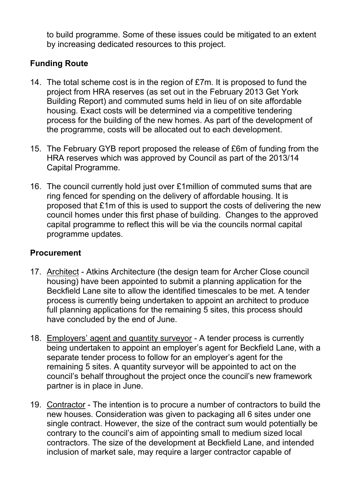to build programme. Some of these issues could be mitigated to an extent by increasing dedicated resources to this project.

# **Funding Route**

- 14. The total scheme cost is in the region of £7m. It is proposed to fund the project from HRA reserves (as set out in the February 2013 Get York Building Report) and commuted sums held in lieu of on site affordable housing. Exact costs will be determined via a competitive tendering process for the building of the new homes. As part of the development of the programme, costs will be allocated out to each development.
- 15. The February GYB report proposed the release of £6m of funding from the HRA reserves which was approved by Council as part of the 2013/14 Capital Programme.
- 16. The council currently hold just over £1million of commuted sums that are ring fenced for spending on the delivery of affordable housing. It is proposed that £1m of this is used to support the costs of delivering the new council homes under this first phase of building. Changes to the approved capital programme to reflect this will be via the councils normal capital programme updates.

#### **Procurement**

- 17. Architect Atkins Architecture (the design team for Archer Close council housing) have been appointed to submit a planning application for the Beckfield Lane site to allow the identified timescales to be met. A tender process is currently being undertaken to appoint an architect to produce full planning applications for the remaining 5 sites, this process should have concluded by the end of June.
- 18. Employers' agent and quantity surveyor A tender process is currently being undertaken to appoint an employer's agent for Beckfield Lane, with a separate tender process to follow for an employer's agent for the remaining 5 sites. A quantity surveyor will be appointed to act on the council's behalf throughout the project once the council's new framework partner is in place in June.
- 19. Contractor The intention is to procure a number of contractors to build the new houses. Consideration was given to packaging all 6 sites under one single contract. However, the size of the contract sum would potentially be contrary to the council's aim of appointing small to medium sized local contractors. The size of the development at Beckfield Lane, and intended inclusion of market sale, may require a larger contractor capable of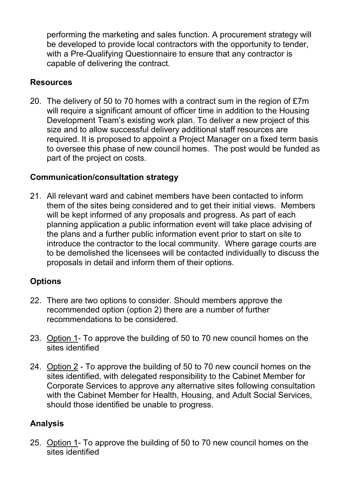performing the marketing and sales function. A procurement strategy will be developed to provide local contractors with the opportunity to tender, with a Pre-Qualifying Questionnaire to ensure that any contractor is capable of delivering the contract.

## **Resources**

20. The delivery of 50 to 70 homes with a contract sum in the region of £7m will require a significant amount of officer time in addition to the Housing Development Team's existing work plan. To deliver a new project of this size and to allow successful delivery additional staff resources are required. It is proposed to appoint a Project Manager on a fixed term basis to oversee this phase of new council homes. The post would be funded as part of the project on costs.

### **Communication/consultation strategy**

21. All relevant ward and cabinet members have been contacted to inform them of the sites being considered and to get their initial views. Members will be kept informed of any proposals and progress. As part of each planning application a public information event will take place advising of the plans and a further public information event prior to start on site to introduce the contractor to the local community. Where garage courts are to be demolished the licensees will be contacted individually to discuss the proposals in detail and inform them of their options.

# **Options**

- 22. There are two options to consider. Should members approve the recommended option (option 2) there are a number of further recommendations to be considered.
- 23. Option 1- To approve the building of 50 to 70 new council homes on the sites identified
- 24. Option 2 To approve the building of 50 to 70 new council homes on the sites identified, with delegated responsibility to the Cabinet Member for Corporate Services to approve any alternative sites following consultation with the Cabinet Member for Health, Housing, and Adult Social Services, should those identified be unable to progress.

# **Analysis**

25. Option 1- To approve the building of 50 to 70 new council homes on the sites identified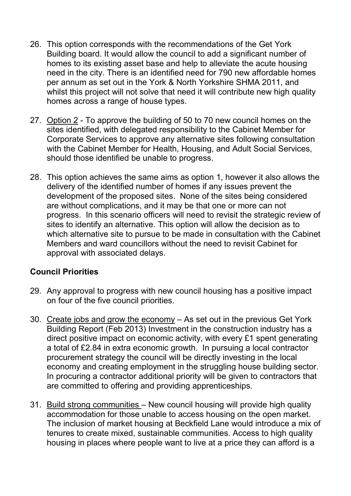- 26. This option corresponds with the recommendations of the Get York Building board. It would allow the council to add a significant number of homes to its existing asset base and help to alleviate the acute housing need in the city. There is an identified need for 790 new affordable homes per annum as set out in the York & North Yorkshire SHMA 2011, and whilst this project will not solve that need it will contribute new high quality homes across a range of house types.
- 27. Option 2 To approve the building of 50 to 70 new council homes on the sites identified, with delegated responsibility to the Cabinet Member for Corporate Services to approve any alternative sites following consultation with the Cabinet Member for Health, Housing, and Adult Social Services, should those identified be unable to progress.
- 28. This option achieves the same aims as option 1, however it also allows the delivery of the identified number of homes if any issues prevent the development of the proposed sites. None of the sites being considered are without complications, and it may be that one or more can not progress. In this scenario officers will need to revisit the strategic review of sites to identify an alternative. This option will allow the decision as to which alternative site to pursue to be made in consultation with the Cabinet Members and ward councillors without the need to revisit Cabinet for approval with associated delays.

### **Council Priorities**

- 29. Any approval to progress with new council housing has a positive impact on four of the five council priorities.
- 30. Create jobs and grow the economy As set out in the previous Get York Building Report (Feb 2013) Investment in the construction industry has a direct positive impact on economic activity, with every £1 spent generating a total of £2.84 in extra economic growth. In pursuing a local contractor procurement strategy the council will be directly investing in the local economy and creating employment in the struggling house building sector. In procuring a contractor additional priority will be given to contractors that are committed to offering and providing apprenticeships.
- 31. Build strong communities New council housing will provide high quality accommodation for those unable to access housing on the open market. The inclusion of market housing at Beckfield Lane would introduce a mix of tenures to create mixed, sustainable communities. Access to high quality housing in places where people want to live at a price they can afford is a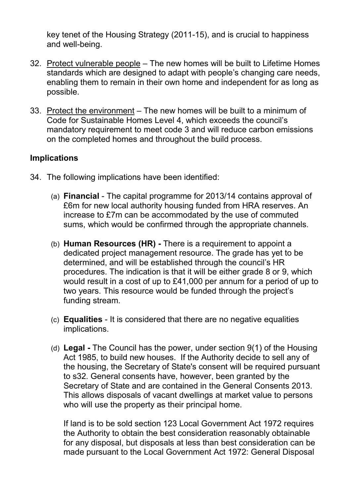key tenet of the Housing Strategy (2011-15), and is crucial to happiness and well-being.

- 32. Protect vulnerable people The new homes will be built to Lifetime Homes standards which are designed to adapt with people's changing care needs, enabling them to remain in their own home and independent for as long as possible.
- 33. Protect the environment The new homes will be built to a minimum of Code for Sustainable Homes Level 4, which exceeds the council's mandatory requirement to meet code 3 and will reduce carbon emissions on the completed homes and throughout the build process.

#### **Implications**

- 34. The following implications have been identified:
	- (a) **Financial** The capital programme for 2013/14 contains approval of £6m for new local authority housing funded from HRA reserves. An increase to £7m can be accommodated by the use of commuted sums, which would be confirmed through the appropriate channels.
	- (b) **Human Resources (HR)** There is a requirement to appoint a dedicated project management resource. The grade has yet to be determined, and will be established through the council's HR procedures. The indication is that it will be either grade 8 or 9, which would result in a cost of up to £41,000 per annum for a period of up to two years. This resource would be funded through the project's funding stream.
	- (c) **Equalities** It is considered that there are no negative equalities implications.
	- (d) **Legal** The Council has the power, under section 9(1) of the Housing Act 1985, to build new houses. If the Authority decide to sell any of the housing, the Secretary of State's consent will be required pursuant to s32. General consents have, however, been granted by the Secretary of State and are contained in the General Consents 2013. This allows disposals of vacant dwellings at market value to persons who will use the property as their principal home.

 If land is to be sold section 123 Local Government Act 1972 requires the Authority to obtain the best consideration reasonably obtainable for any disposal, but disposals at less than best consideration can be made pursuant to the Local Government Act 1972: General Disposal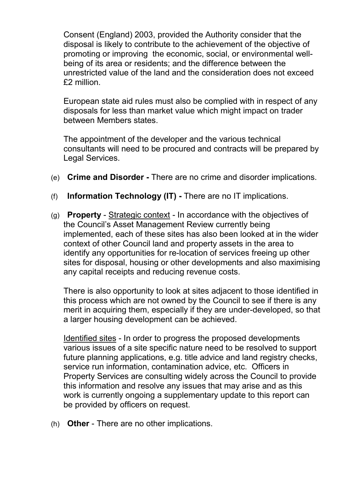Consent (England) 2003, provided the Authority consider that the disposal is likely to contribute to the achievement of the objective of promoting or improving the economic, social, or environmental wellbeing of its area or residents; and the difference between the unrestricted value of the land and the consideration does not exceed £2 million.

European state aid rules must also be complied with in respect of any disposals for less than market value which might impact on trader between Members states.

The appointment of the developer and the various technical consultants will need to be procured and contracts will be prepared by Legal Services.

- (e) **Crime and Disorder** There are no crime and disorder implications.
- (f) **Information Technology (IT)** There are no IT implications.
- (g) **Property** Strategic context In accordance with the objectives of the Council's Asset Management Review currently being implemented, each of these sites has also been looked at in the wider context of other Council land and property assets in the area to identify any opportunities for re-location of services freeing up other sites for disposal, housing or other developments and also maximising any capital receipts and reducing revenue costs.

There is also opportunity to look at sites adjacent to those identified in this process which are not owned by the Council to see if there is any merit in acquiring them, especially if they are under-developed, so that a larger housing development can be achieved.

 Identified sites - In order to progress the proposed developments various issues of a site specific nature need to be resolved to support future planning applications, e.g. title advice and land registry checks, service run information, contamination advice, etc. Officers in Property Services are consulting widely across the Council to provide this information and resolve any issues that may arise and as this work is currently ongoing a supplementary update to this report can be provided by officers on request.

(h) **Other** - There are no other implications.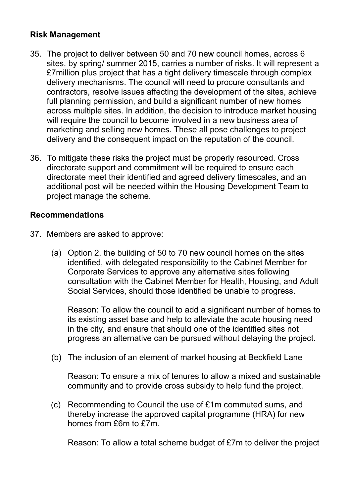#### **Risk Management**

- 35. The project to deliver between 50 and 70 new council homes, across 6 sites, by spring/ summer 2015, carries a number of risks. It will represent a £7million plus project that has a tight delivery timescale through complex delivery mechanisms. The council will need to procure consultants and contractors, resolve issues affecting the development of the sites, achieve full planning permission, and build a significant number of new homes across multiple sites. In addition, the decision to introduce market housing will require the council to become involved in a new business area of marketing and selling new homes. These all pose challenges to project delivery and the consequent impact on the reputation of the council.
- 36. To mitigate these risks the project must be properly resourced. Cross directorate support and commitment will be required to ensure each directorate meet their identified and agreed delivery timescales, and an additional post will be needed within the Housing Development Team to project manage the scheme.

#### **Recommendations**

- 37. Members are asked to approve:
	- (a) Option 2, the building of 50 to 70 new council homes on the sites identified, with delegated responsibility to the Cabinet Member for Corporate Services to approve any alternative sites following consultation with the Cabinet Member for Health, Housing, and Adult Social Services, should those identified be unable to progress.

Reason: To allow the council to add a significant number of homes to its existing asset base and help to alleviate the acute housing need in the city, and ensure that should one of the identified sites not progress an alternative can be pursued without delaying the project.

(b) The inclusion of an element of market housing at Beckfield Lane

Reason: To ensure a mix of tenures to allow a mixed and sustainable community and to provide cross subsidy to help fund the project.

(c) Recommending to Council the use of £1m commuted sums, and thereby increase the approved capital programme (HRA) for new homes from £6m to £7m.

Reason: To allow a total scheme budget of £7m to deliver the project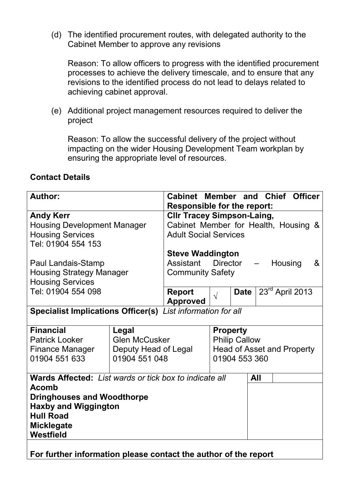(d) The identified procurement routes, with delegated authority to the Cabinet Member to approve any revisions

Reason: To allow officers to progress with the identified procurement processes to achieve the delivery timescale, and to ensure that any revisions to the identified process do not lead to delays related to achieving cabinet approval.

(e) Additional project management resources required to deliver the project

Reason: To allow the successful delivery of the project without impacting on the wider Housing Development Team workplan by ensuring the appropriate level of resources.

#### **Contact Details**

| <b>Author:</b>                                                                                                                                                                                                                                                             |                                                                        | Cabinet Member and Chief Officer<br><b>Responsible for the report:</b>                                                                |                                                                                        |             |     |                 |  |
|----------------------------------------------------------------------------------------------------------------------------------------------------------------------------------------------------------------------------------------------------------------------------|------------------------------------------------------------------------|---------------------------------------------------------------------------------------------------------------------------------------|----------------------------------------------------------------------------------------|-------------|-----|-----------------|--|
| <b>Andy Kerr</b><br><b>Housing Development Manager</b><br><b>Housing Services</b><br>Tel: 01904 554 153                                                                                                                                                                    |                                                                        | <b>CIIr Tracey Simpson-Laing,</b><br>Cabinet Member for Health, Housing &<br><b>Adult Social Services</b>                             |                                                                                        |             |     |                 |  |
| Paul Landais-Stamp<br><b>Housing Strategy Manager</b><br><b>Housing Services</b>                                                                                                                                                                                           |                                                                        | <b>Steve Waddington</b><br><b>Director</b><br>Housing<br>Assistant<br>&<br>$\frac{1}{2}$ and $\frac{1}{2}$<br><b>Community Safety</b> |                                                                                        |             |     |                 |  |
| Tel: 01904 554 098                                                                                                                                                                                                                                                         |                                                                        | <b>Report</b><br><b>Approved</b>                                                                                                      | $\sqrt{}$                                                                              | <b>Date</b> |     | 23rd April 2013 |  |
| <b>Specialist Implications Officer(s)</b> List information for all                                                                                                                                                                                                         |                                                                        |                                                                                                                                       |                                                                                        |             |     |                 |  |
| <b>Financial</b><br><b>Patrick Looker</b><br><b>Finance Manager</b><br>01904 551 633                                                                                                                                                                                       | Legal<br><b>Glen McCusker</b><br>Deputy Head of Legal<br>01904 551 048 |                                                                                                                                       | <b>Property</b><br><b>Philip Callow</b><br>Head of Asset and Property<br>01904 553 360 |             |     |                 |  |
| <b>Wards Affected:</b> List wards or tick box to indicate all<br><b>Acomb</b><br><b>Dringhouses and Woodthorpe</b><br><b>Haxby and Wiggington</b><br><b>Hull Road</b><br><b>Micklegate</b><br>Westfield<br>For further information please contact the author of the report |                                                                        |                                                                                                                                       |                                                                                        |             | All |                 |  |